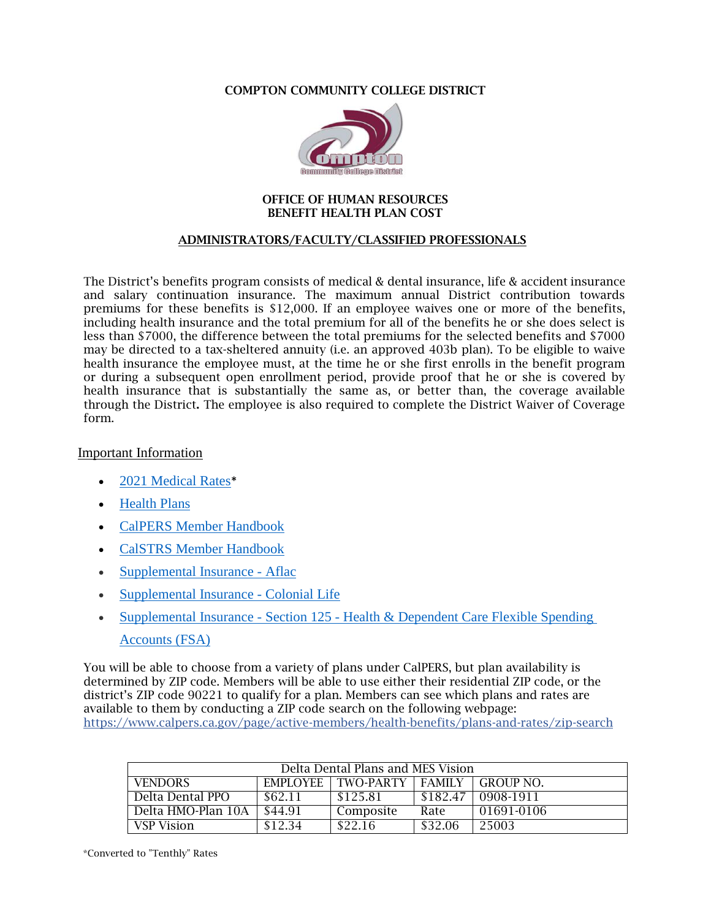### COMPTON COMMUNITY COLLEGE DISTRICT



#### OFFICE OF HUMAN RESOURCES BENEFIT HEALTH PLAN COST

## ADMINISTRATORS/FACULTY/CLASSIFIED PROFESSIONALS

The District's benefits program consists of medical & dental insurance, life & accident insurance and salary continuation insurance. The maximum annual District contribution towards premiums for these benefits is \$12,000. If an employee waives one or more of the benefits, including health insurance and the total premium for all of the benefits he or she does select is less than \$7000, the difference between the total premiums for the selected benefits and \$7000 may be directed to a tax-sheltered annuity (i.e. an approved 403b plan). To be eligible to waive health insurance the employee must, at the time he or she first enrolls in the benefit program or during a subsequent open enrollment period, provide proof that he or she is covered by health insurance that is substantially the same as, or better than, the coverage available through the District. The employee is also required to complete the District Waiver of Coverage form.

# Important Information

- [2021 Medical Rates](https://www.calpers.ca.gov/docs/health-rates-region-3-2021.pdf)\*
- [Health Plans](https://www.calpers.ca.gov/page/forms-publications&d=24)
- [CalPERS Member Handbook](https://www.calpers.ca.gov/docs/forms-publications/school-benefits.pdf)
- [CalSTRS Member Handbook](https://www.calstrs.com/sites/main/files/file-attachments/memberhandbook2020.pdf?1593116316)
- [Supplemental Insurance -](https://aflacprod.secure.force.com/SelfScheduling/Verification?a=0011O00002TrUTi) Aflac
- [Supplemental Insurance -](https://flimp.me/wd9mur1sqe) Colonial Life
- Supplemental Insurance Section 125 Health & Dependent Care Flexible Spending [Accounts \(FSA\)](https://enroll.americanfidelity.com/B67F5E67)

You will be able to choose from a variety of plans under CalPERS, but plan availability is determined by ZIP code. Members will be able to use either their residential ZIP code, or the district's ZIP code 90221 to qualify for a plan. Members can see which plans and rates are available to them by conducting a ZIP code search on the following webpage: <https://www.calpers.ca.gov/page/active-members/health-benefits/plans-and-rates/zip-search>

| Delta Dental Plans and MES Vision |         |                           |          |            |
|-----------------------------------|---------|---------------------------|----------|------------|
| <b>VENDORS</b>                    |         | EMPLOYEE TWO-PARTY FAMILY |          | GROUP NO.  |
| Delta Dental PPO                  | \$62.11 | \$125.81                  | \$182.47 | 0908-1911  |
| Delta HMO-Plan 10A                | \$44.91 | Composite                 | Rate     | 01691-0106 |
| VSP Vision                        | \$12.34 | \$22.16                   | \$32.06  | 25003      |

\*Converted to "Tenthly" Rates